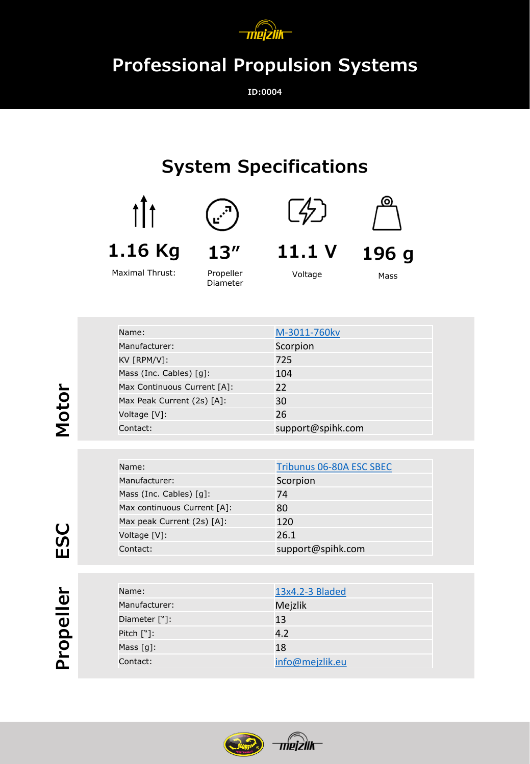

## **Professional Propulsion Systems**

**ID:0004**

## **System Specifications**



**1.16 Kg**



Voltage

**11.1 V**

 $\mathbb{Z}$ 

**196 g** Mass

ര

| Maximal Thrust: |  |
|-----------------|--|
|                 |  |

Diameter

| Name:                       | M-3011-760kv      |
|-----------------------------|-------------------|
| Manufacturer:               | Scorpion          |
| KV [RPM/V]:                 | 725               |
| Mass (Inc. Cables) [g]:     | 104               |
| Max Continuous Current [A]: | 22                |
| Max Peak Current (2s) [A]:  | 30                |
| Voltage [V]:                | 26                |
| Contact:                    | support@spihk.com |

| Name:                                  | Tribunus 06-80A ESC SBEC |
|----------------------------------------|--------------------------|
| Manufacturer:                          | Scorpion                 |
| Mass (Inc. Cables) $\lceil q \rceil$ : | 74                       |
| Max continuous Current [A]:            | 80                       |
| Max peak Current (2s) [A]:             | 120                      |
| Voltage [V]:                           | 26.1                     |
| Contact:                               | support@spihk.com        |

| Name:                    | 13x4.2-3 Bladed |
|--------------------------|-----------------|
| Manufacturer:            | Mejzlik         |
| Diameter ["]:            | 13              |
| Pitch $[\n$ :            | 4.2             |
| Mass $\lceil q \rceil$ : | 18              |
| Contact:                 | info@mejzlik.eu |



**Motor**